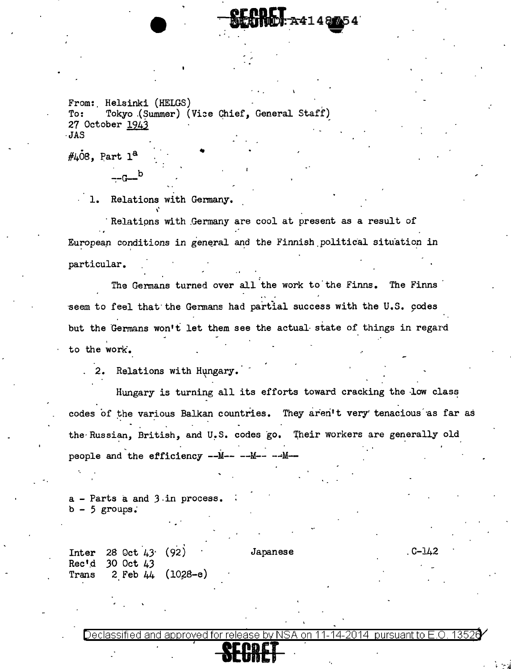From: Helsinki (HELGS)<br>To: Tokyo (Summer) ( To: Tokyo (Summer) (Vice Chief, General Staff) 27 October 1943 ·JAS

 $\text{\#LOS. Part } 1^a$ 

 $-$ G $-$ b

1. Relations with Germany.

Relations with Germany are cool at present as a result of European conditions in general and the Finnish political situation in particular.

 $-24148$ 

The Germans turned over all the work to the Finns. The Finns seem to feel that the Germans had partial success with the U.S. codes but the Germans won't let them see the actual state of things in regard to the work'.

2. Relations with Hungary.

Hungary is turning all its efforts toward cracking the low class codes of the various Balkan countries. They aren't very tenacious as far as the Russian, British, and U.S. codes go. Their workers are generally old people and the efficiency --M-- --M-- --M--

a - Parts a and J.in process.  $b - 5$  groups.

Inter 28 Oct 43· (92) Rec'd 30 Oct 43 Trans 2 Feb  $44 (10,28-e)$  Japanese . C-142

Declassified and approved for release by NSA on 11-14-2014 pursuant to E.O. 13526 , **SECRET**